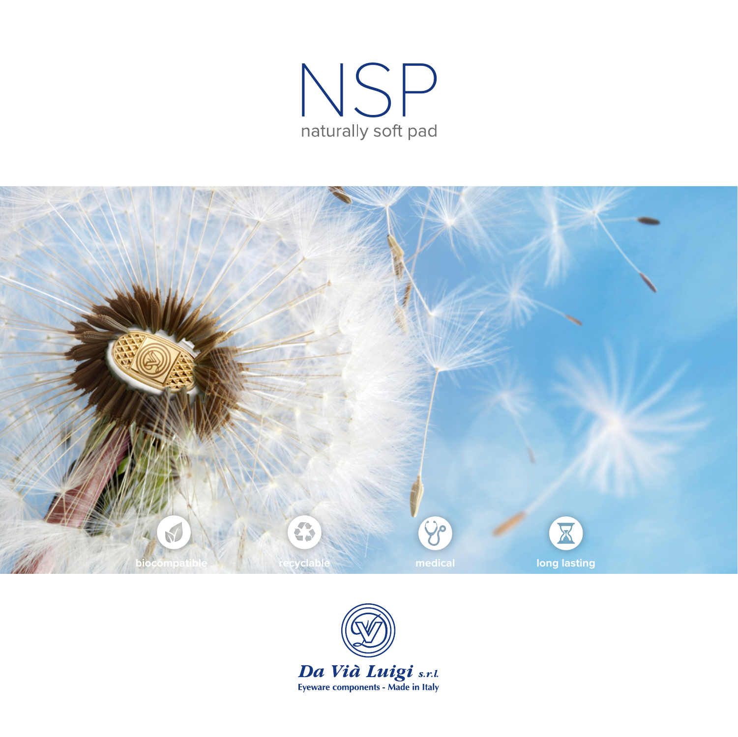



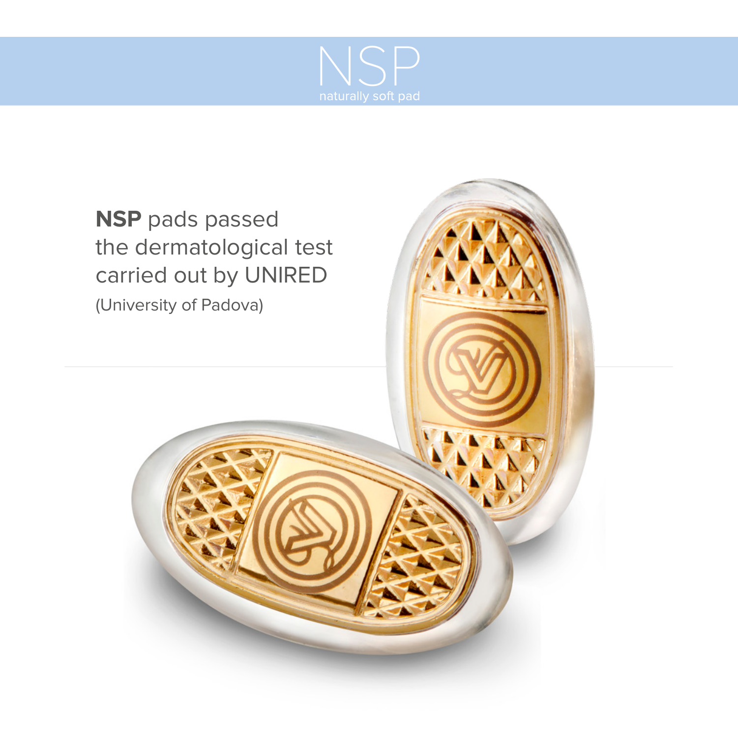

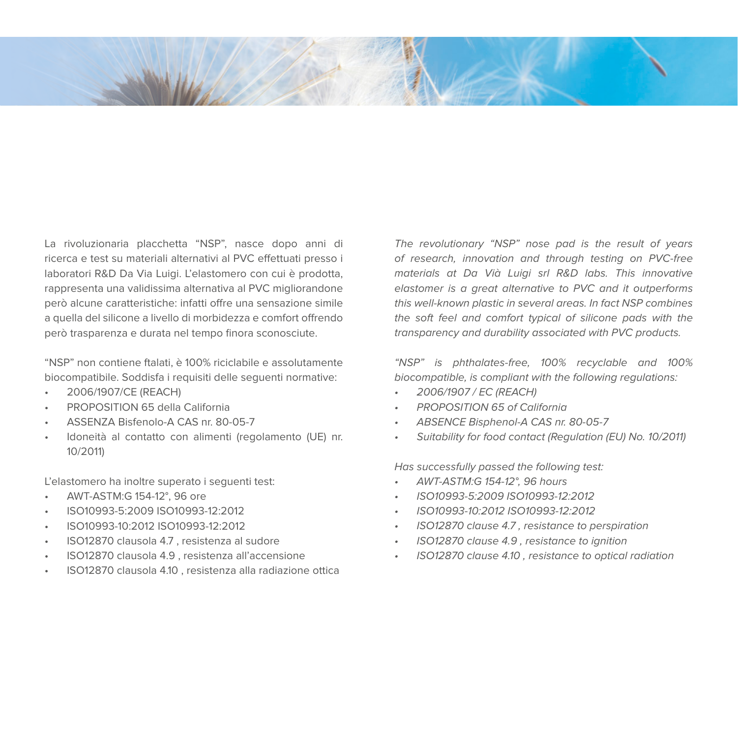

La rivoluzionaria placchetta "NSP", nasce dopo anni di ricerca e test su materiali alternativi al PVC effettuati presso i laboratori R&D Da Via Luigi. L'elastomero con cui è prodotta, rappresenta una validissima alternativa al PVC migliorandone però alcune caratteristiche: infatti offre una sensazione simile a quella del silicone a livello di morbidezza e comfort offrendo però trasparenza e durata nel tempo finora sconosciute.

"NSP" non contiene ftalati, è 100% riciclabile e assolutamente biocompatibile. Soddisfa i requisiti delle seguenti normative:

- 2006/1907/CE (REACH)
- PROPOSITION 65 della California
- ASSENZA Bisfenolo-A CAS nr. 80-05-7
- Idoneità al contatto con alimenti (regolamento (UE) nr. 10/2011)

L'elastomero ha inoltre superato i seguenti test:

- AWT-ASTM:G 154-12°, 96 ore
- ISO10993-5:2009 ISO10993-12:2012
- ISO10993-10:2012 ISO10993-12:2012
- ISO12870 clausola 4.7 , resistenza al sudore
- ISO12870 clausola 4.9 , resistenza all'accensione
- ISO12870 clausola 4.10 , resistenza alla radiazione ottica

The revolutionary "NSP" nose pad is the result of years of research, innovation and through testing on PVC-free materials at Da Vià Luigi srl R&D labs. This innovative elastomer is a great alternative to PVC and it outperforms this well-known plastic in several areas. In fact NSP combines the soft feel and comfort typical of silicone pads with the transparency and durability associated with PVC products.

"NSP" is phthalates-free, 100% recyclable and 100% biocompatible, is compliant with the following regulations:

- 2006/1907 / EC (REACH)
- PROPOSITION 65 of California
- ABSENCE Bisphenol-A CAS nr. 80-05-7
- Suitability for food contact (Regulation (EU) No. 10/2011)

Has successfully passed the following test:

- AWT-ASTM:G 154-12°, 96 hours
- ISO10993-5:2009 ISO10993-12:2012
- ISO10993-10:2012 ISO10993-12:2012
- ISO12870 clause 4.7 , resistance to perspiration
- ISO12870 clause 4.9 , resistance to ignition
- ISO12870 clause 4.10 , resistance to optical radiation